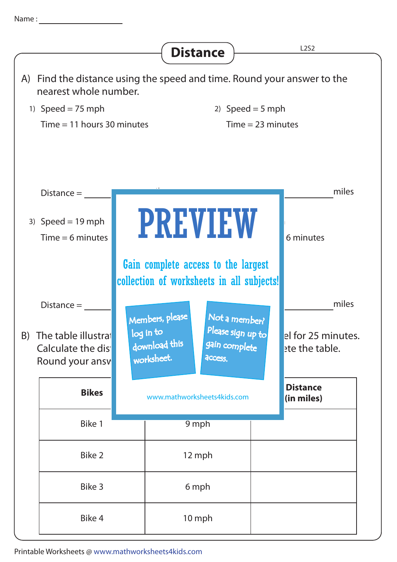